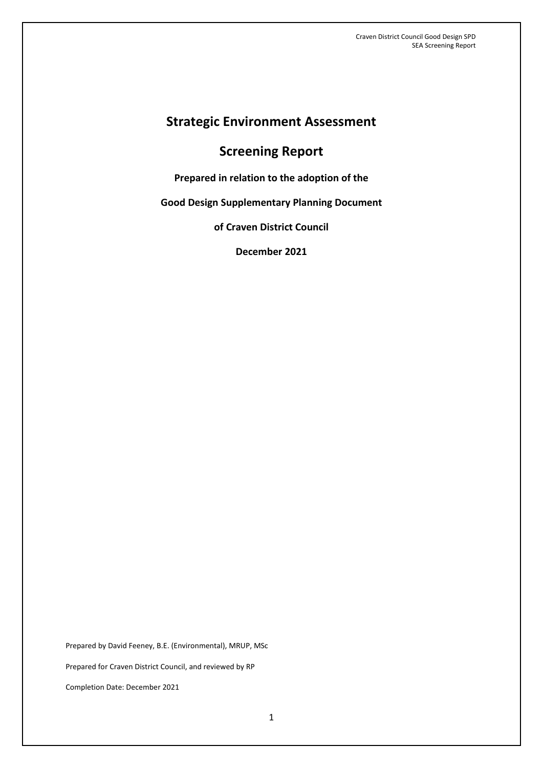# **Strategic Environment Assessment**

# **Screening Report**

**Prepared in relation to the adoption of the** 

**Good Design Supplementary Planning Document**

**of Craven District Council**

**December 2021**

Prepared by David Feeney, B.E. (Environmental), MRUP, MSc Prepared for Craven District Council, and reviewed by RP Completion Date: December 2021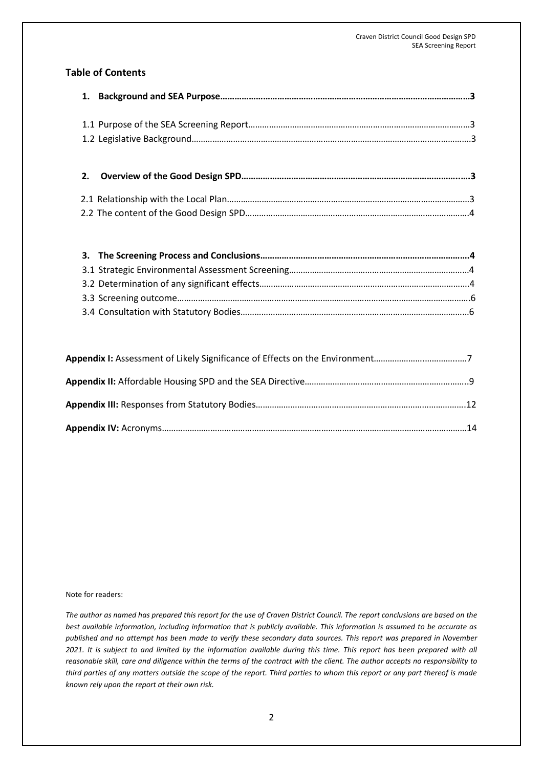### **Table of Contents**

# **2. Overview of the Good Design SPD………………………………………………………………………………..….3**

#### Note for readers:

*The author as named has prepared this report for the use of Craven District Council. The report conclusions are based on the best available information, including information that is publicly available. This information is assumed to be accurate as published and no attempt has been made to verify these secondary data sources. This report was prepared in November 2021. It is subject to and limited by the information available during this time. This report has been prepared with all reasonable skill, care and diligence within the terms of the contract with the client. The author accepts no responsibility to third parties of any matters outside the scope of the report. Third parties to whom this report or any part thereof is made known rely upon the report at their own risk.*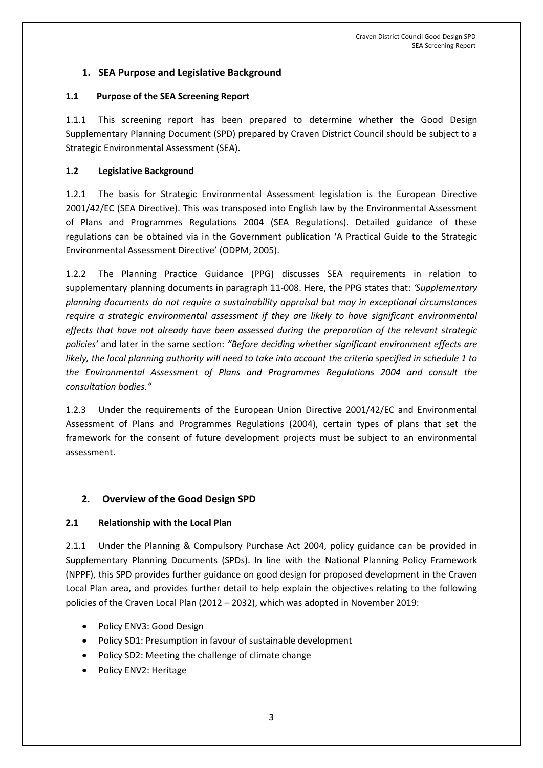## **1. SEA Purpose and Legislative Background**

#### **1.1 Purpose of the SEA Screening Report**

1.1.1 This screening report has been prepared to determine whether the Good Design Supplementary Planning Document (SPD) prepared by Craven District Council should be subject to a Strategic Environmental Assessment (SEA).

#### **1.2 Legislative Background**

1.2.1 The basis for Strategic Environmental Assessment legislation is the European Directive 2001/42/EC (SEA Directive). This was transposed into English law by the Environmental Assessment of Plans and Programmes Regulations 2004 (SEA Regulations). Detailed guidance of these regulations can be obtained via in the Government publication 'A Practical Guide to the Strategic Environmental Assessment Directive' (ODPM, 2005).

1.2.2 The Planning Practice Guidance (PPG) discusses SEA requirements in relation to supplementary planning documents in paragraph 11-008. Here, the PPG states that: *'Supplementary planning documents do not require a sustainability appraisal but may in exceptional circumstances require a strategic environmental assessment if they are likely to have significant environmental effects that have not already have been assessed during the preparation of the relevant strategic policies'* and later in the same section: *"Before deciding whether significant environment effects are likely, the local planning authority will need to take into account the criteria specified in schedule 1 to the Environmental Assessment of Plans and Programmes Regulations 2004 and consult the consultation bodies."*

1.2.3 Under the requirements of the European Union Directive 2001/42/EC and Environmental Assessment of Plans and Programmes Regulations (2004), certain types of plans that set the framework for the consent of future development projects must be subject to an environmental assessment.

### **2. Overview of the Good Design SPD**

#### **2.1 Relationship with the Local Plan**

2.1.1 Under the Planning & Compulsory Purchase Act 2004, policy guidance can be provided in Supplementary Planning Documents (SPDs). In line with the National Planning Policy Framework (NPPF), this SPD provides further guidance on good design for proposed development in the Craven Local Plan area, and provides further detail to help explain the objectives relating to the following policies of the Craven Local Plan (2012 – 2032), which was adopted in November 2019:

- Policy ENV3: Good Design
- Policy SD1: Presumption in favour of sustainable development
- Policy SD2: Meeting the challenge of climate change
- Policy ENV2: Heritage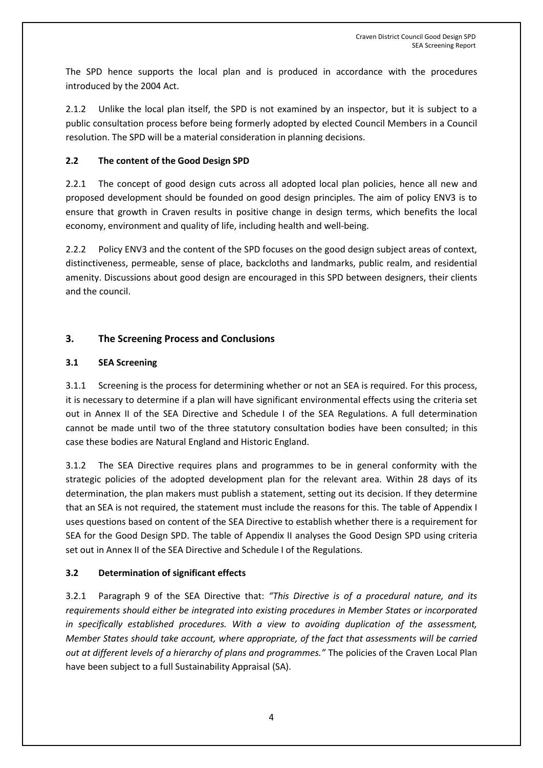The SPD hence supports the local plan and is produced in accordance with the procedures introduced by the 2004 Act.

2.1.2 Unlike the local plan itself, the SPD is not examined by an inspector, but it is subject to a public consultation process before being formerly adopted by elected Council Members in a Council resolution. The SPD will be a material consideration in planning decisions.

## **2.2 The content of the Good Design SPD**

2.2.1 The concept of good design cuts across all adopted local plan policies, hence all new and proposed development should be founded on good design principles. The aim of policy ENV3 is to ensure that growth in Craven results in positive change in design terms, which benefits the local economy, environment and quality of life, including health and well-being.

2.2.2 Policy ENV3 and the content of the SPD focuses on the good design subject areas of context, distinctiveness, permeable, sense of place, backcloths and landmarks, public realm, and residential amenity. Discussions about good design are encouraged in this SPD between designers, their clients and the council.

## **3. The Screening Process and Conclusions**

### **3.1 SEA Screening**

3.1.1 Screening is the process for determining whether or not an SEA is required. For this process, it is necessary to determine if a plan will have significant environmental effects using the criteria set out in Annex II of the SEA Directive and Schedule I of the SEA Regulations. A full determination cannot be made until two of the three statutory consultation bodies have been consulted; in this case these bodies are Natural England and Historic England.

3.1.2 The SEA Directive requires plans and programmes to be in general conformity with the strategic policies of the adopted development plan for the relevant area. Within 28 days of its determination, the plan makers must publish a statement, setting out its decision. If they determine that an SEA is not required, the statement must include the reasons for this. The table of Appendix I uses questions based on content of the SEA Directive to establish whether there is a requirement for SEA for the Good Design SPD. The table of Appendix II analyses the Good Design SPD using criteria set out in Annex II of the SEA Directive and Schedule I of the Regulations.

### **3.2 Determination of significant effects**

3.2.1 Paragraph 9 of the SEA Directive that: *"This Directive is of a procedural nature, and its requirements should either be integrated into existing procedures in Member States or incorporated in specifically established procedures. With a view to avoiding duplication of the assessment, Member States should take account, where appropriate, of the fact that assessments will be carried out at different levels of a hierarchy of plans and programmes."* The policies of the Craven Local Plan have been subject to a full Sustainability Appraisal (SA).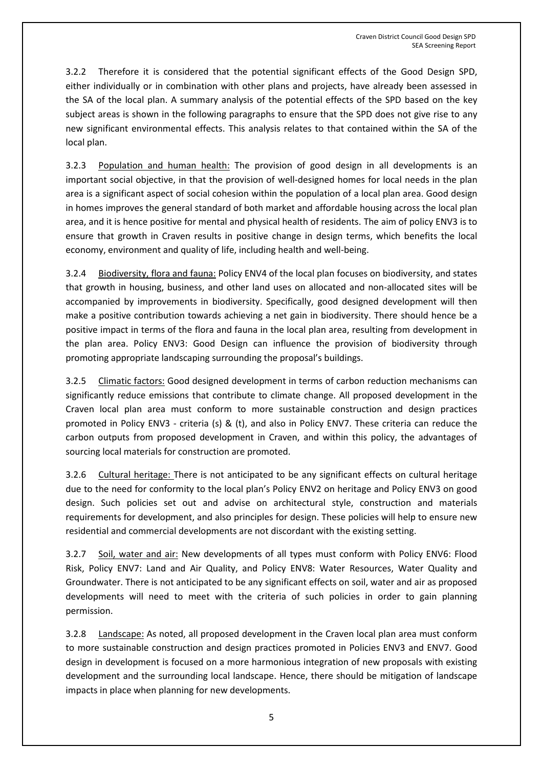3.2.2 Therefore it is considered that the potential significant effects of the Good Design SPD, either individually or in combination with other plans and projects, have already been assessed in the SA of the local plan. A summary analysis of the potential effects of the SPD based on the key subject areas is shown in the following paragraphs to ensure that the SPD does not give rise to any new significant environmental effects. This analysis relates to that contained within the SA of the local plan.

3.2.3 Population and human health: The provision of good design in all developments is an important social objective, in that the provision of well-designed homes for local needs in the plan area is a significant aspect of social cohesion within the population of a local plan area. Good design in homes improves the general standard of both market and affordable housing across the local plan area, and it is hence positive for mental and physical health of residents. The aim of policy ENV3 is to ensure that growth in Craven results in positive change in design terms, which benefits the local economy, environment and quality of life, including health and well-being.

3.2.4 Biodiversity, flora and fauna: Policy ENV4 of the local plan focuses on biodiversity, and states that growth in housing, business, and other land uses on allocated and non-allocated sites will be accompanied by improvements in biodiversity. Specifically, good designed development will then make a positive contribution towards achieving a net gain in biodiversity. There should hence be a positive impact in terms of the flora and fauna in the local plan area, resulting from development in the plan area. Policy ENV3: Good Design can influence the provision of biodiversity through promoting appropriate landscaping surrounding the proposal's buildings.

3.2.5 Climatic factors: Good designed development in terms of carbon reduction mechanisms can significantly reduce emissions that contribute to climate change. All proposed development in the Craven local plan area must conform to more sustainable construction and design practices promoted in Policy ENV3 - criteria (s) & (t), and also in Policy ENV7. These criteria can reduce the carbon outputs from proposed development in Craven, and within this policy, the advantages of sourcing local materials for construction are promoted.

3.2.6 Cultural heritage: There is not anticipated to be any significant effects on cultural heritage due to the need for conformity to the local plan's Policy ENV2 on heritage and Policy ENV3 on good design. Such policies set out and advise on architectural style, construction and materials requirements for development, and also principles for design. These policies will help to ensure new residential and commercial developments are not discordant with the existing setting.

3.2.7 Soil, water and air: New developments of all types must conform with Policy ENV6: Flood Risk, Policy ENV7: Land and Air Quality, and Policy ENV8: Water Resources, Water Quality and Groundwater. There is not anticipated to be any significant effects on soil, water and air as proposed developments will need to meet with the criteria of such policies in order to gain planning permission.

3.2.8 Landscape: As noted, all proposed development in the Craven local plan area must conform to more sustainable construction and design practices promoted in Policies ENV3 and ENV7. Good design in development is focused on a more harmonious integration of new proposals with existing development and the surrounding local landscape. Hence, there should be mitigation of landscape impacts in place when planning for new developments.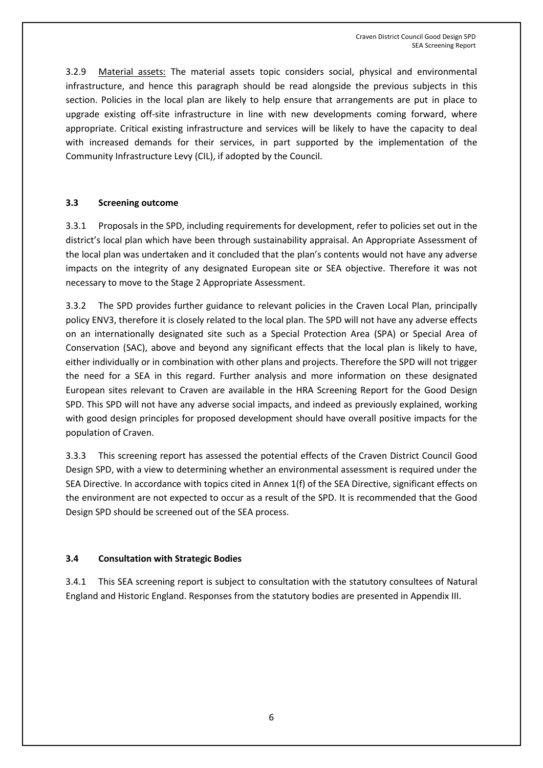3.2.9 Material assets: The material assets topic considers social, physical and environmental infrastructure, and hence this paragraph should be read alongside the previous subjects in this section. Policies in the local plan are likely to help ensure that arrangements are put in place to upgrade existing off-site infrastructure in line with new developments coming forward, where appropriate. Critical existing infrastructure and services will be likely to have the capacity to deal with increased demands for their services, in part supported by the implementation of the Community Infrastructure Levy (CIL), if adopted by the Council.

#### **3.3 Screening outcome**

3.3.1 Proposals in the SPD, including requirements for development, refer to policies set out in the district's local plan which have been through sustainability appraisal. An Appropriate Assessment of the local plan was undertaken and it concluded that the plan's contents would not have any adverse impacts on the integrity of any designated European site or SEA objective. Therefore it was not necessary to move to the Stage 2 Appropriate Assessment.

3.3.2 The SPD provides further guidance to relevant policies in the Craven Local Plan, principally policy ENV3, therefore it is closely related to the local plan. The SPD will not have any adverse effects on an internationally designated site such as a Special Protection Area (SPA) or Special Area of Conservation (SAC), above and beyond any significant effects that the local plan is likely to have, either individually or in combination with other plans and projects. Therefore the SPD will not trigger the need for a SEA in this regard. Further analysis and more information on these designated European sites relevant to Craven are available in the HRA Screening Report for the Good Design SPD. This SPD will not have any adverse social impacts, and indeed as previously explained, working with good design principles for proposed development should have overall positive impacts for the population of Craven.

3.3.3 This screening report has assessed the potential effects of the Craven District Council Good Design SPD, with a view to determining whether an environmental assessment is required under the SEA Directive. In accordance with topics cited in Annex 1(f) of the SEA Directive, significant effects on the environment are not expected to occur as a result of the SPD. It is recommended that the Good Design SPD should be screened out of the SEA process.

### **3.4 Consultation with Strategic Bodies**

3.4.1 This SEA screening report is subject to consultation with the statutory consultees of Natural England and Historic England. Responses from the statutory bodies are presented in Appendix III.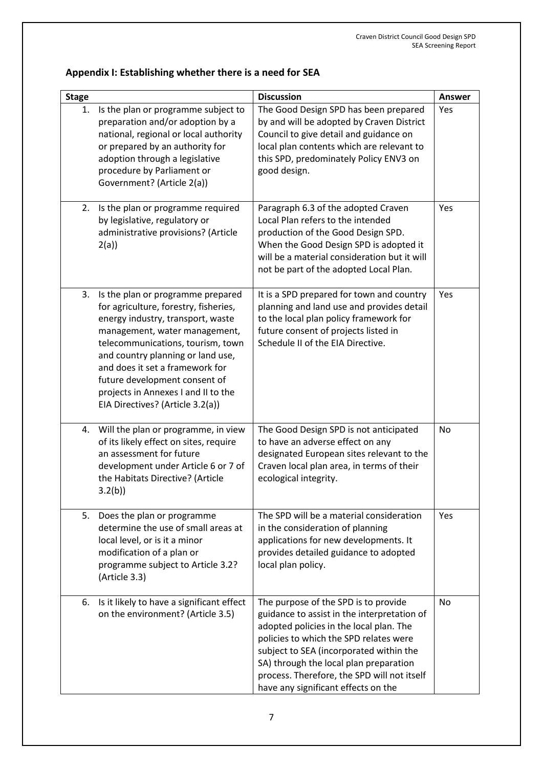# **Appendix I: Establishing whether there is a need for SEA**

| <b>Stage</b> |                                                                                                                                                                                                                                                                                                                                                                           | <b>Discussion</b>                                                                                                                                                                                                                                                                                                                                   | <b>Answer</b> |
|--------------|---------------------------------------------------------------------------------------------------------------------------------------------------------------------------------------------------------------------------------------------------------------------------------------------------------------------------------------------------------------------------|-----------------------------------------------------------------------------------------------------------------------------------------------------------------------------------------------------------------------------------------------------------------------------------------------------------------------------------------------------|---------------|
| 1.           | Is the plan or programme subject to<br>preparation and/or adoption by a<br>national, regional or local authority<br>or prepared by an authority for<br>adoption through a legislative<br>procedure by Parliament or<br>Government? (Article 2(a))                                                                                                                         | The Good Design SPD has been prepared<br>by and will be adopted by Craven District<br>Council to give detail and guidance on<br>local plan contents which are relevant to<br>this SPD, predominately Policy ENV3 on<br>good design.                                                                                                                 | Yes           |
| 2.           | Is the plan or programme required<br>by legislative, regulatory or<br>administrative provisions? (Article<br>2(a)                                                                                                                                                                                                                                                         | Paragraph 6.3 of the adopted Craven<br>Local Plan refers to the intended<br>production of the Good Design SPD.<br>When the Good Design SPD is adopted it<br>will be a material consideration but it will<br>not be part of the adopted Local Plan.                                                                                                  | Yes           |
| 3.           | Is the plan or programme prepared<br>for agriculture, forestry, fisheries,<br>energy industry, transport, waste<br>management, water management,<br>telecommunications, tourism, town<br>and country planning or land use,<br>and does it set a framework for<br>future development consent of<br>projects in Annexes I and II to the<br>EIA Directives? (Article 3.2(a)) | It is a SPD prepared for town and country<br>planning and land use and provides detail<br>to the local plan policy framework for<br>future consent of projects listed in<br>Schedule II of the EIA Directive.                                                                                                                                       | Yes           |
| 4.           | Will the plan or programme, in view<br>of its likely effect on sites, require<br>an assessment for future<br>development under Article 6 or 7 of<br>the Habitats Directive? (Article<br>3.2(b)                                                                                                                                                                            | The Good Design SPD is not anticipated<br>to have an adverse effect on any<br>designated European sites relevant to the<br>Craven local plan area, in terms of their<br>ecological integrity.                                                                                                                                                       | No            |
| 5.           | Does the plan or programme<br>determine the use of small areas at<br>local level, or is it a minor<br>modification of a plan or<br>programme subject to Article 3.2?<br>(Article 3.3)                                                                                                                                                                                     | The SPD will be a material consideration<br>in the consideration of planning<br>applications for new developments. It<br>provides detailed guidance to adopted<br>local plan policy.                                                                                                                                                                | Yes           |
|              | 6. Is it likely to have a significant effect<br>on the environment? (Article 3.5)                                                                                                                                                                                                                                                                                         | The purpose of the SPD is to provide<br>guidance to assist in the interpretation of<br>adopted policies in the local plan. The<br>policies to which the SPD relates were<br>subject to SEA (incorporated within the<br>SA) through the local plan preparation<br>process. Therefore, the SPD will not itself<br>have any significant effects on the | No            |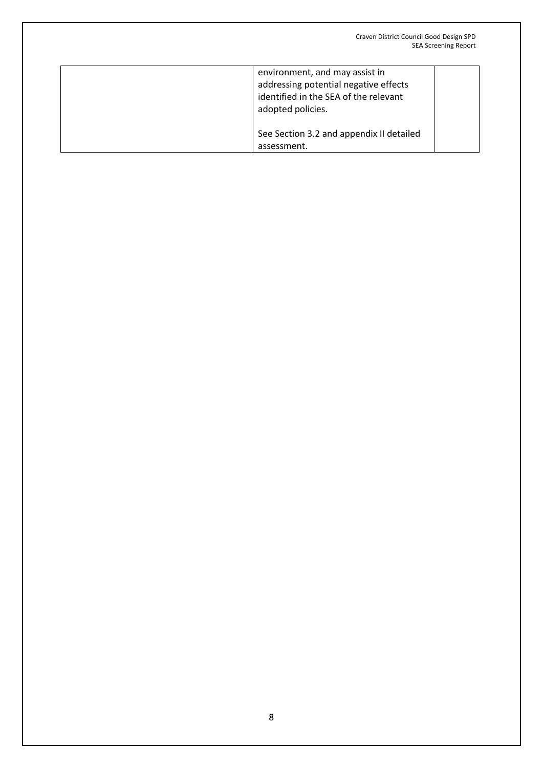| environment, and may assist in<br>addressing potential negative effects<br>identified in the SEA of the relevant<br>adopted policies. |
|---------------------------------------------------------------------------------------------------------------------------------------|
| See Section 3.2 and appendix II detailed<br>assessment.                                                                               |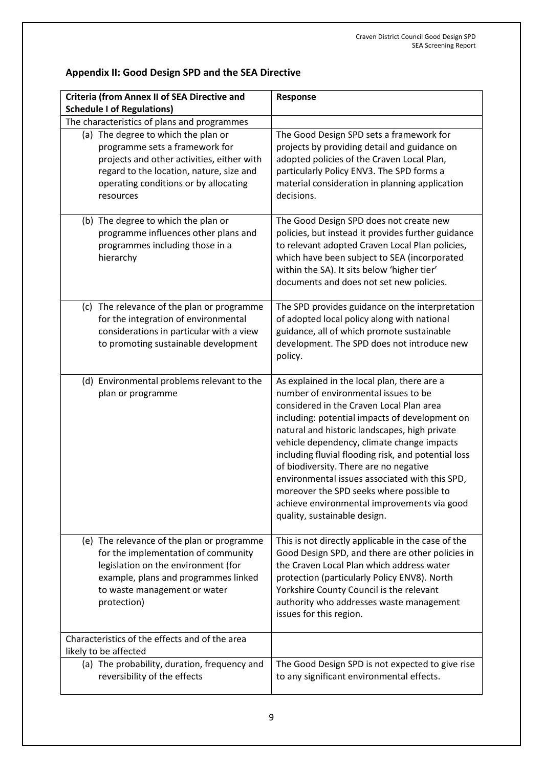# **Appendix II: Good Design SPD and the SEA Directive**

| <b>Criteria (from Annex II of SEA Directive and</b><br><b>Schedule I of Regulations)</b>                                                                                                                              | Response                                                                                                                                                                                                                                                                                                                                                                                                                                                                                                                                                       |
|-----------------------------------------------------------------------------------------------------------------------------------------------------------------------------------------------------------------------|----------------------------------------------------------------------------------------------------------------------------------------------------------------------------------------------------------------------------------------------------------------------------------------------------------------------------------------------------------------------------------------------------------------------------------------------------------------------------------------------------------------------------------------------------------------|
| The characteristics of plans and programmes                                                                                                                                                                           |                                                                                                                                                                                                                                                                                                                                                                                                                                                                                                                                                                |
| (a) The degree to which the plan or<br>programme sets a framework for<br>projects and other activities, either with<br>regard to the location, nature, size and<br>operating conditions or by allocating<br>resources | The Good Design SPD sets a framework for<br>projects by providing detail and guidance on<br>adopted policies of the Craven Local Plan,<br>particularly Policy ENV3. The SPD forms a<br>material consideration in planning application<br>decisions.                                                                                                                                                                                                                                                                                                            |
| (b) The degree to which the plan or<br>programme influences other plans and<br>programmes including those in a<br>hierarchy                                                                                           | The Good Design SPD does not create new<br>policies, but instead it provides further guidance<br>to relevant adopted Craven Local Plan policies,<br>which have been subject to SEA (incorporated<br>within the SA). It sits below 'higher tier'<br>documents and does not set new policies.                                                                                                                                                                                                                                                                    |
| (c) The relevance of the plan or programme<br>for the integration of environmental<br>considerations in particular with a view<br>to promoting sustainable development                                                | The SPD provides guidance on the interpretation<br>of adopted local policy along with national<br>guidance, all of which promote sustainable<br>development. The SPD does not introduce new<br>policy.                                                                                                                                                                                                                                                                                                                                                         |
| (d) Environmental problems relevant to the<br>plan or programme                                                                                                                                                       | As explained in the local plan, there are a<br>number of environmental issues to be<br>considered in the Craven Local Plan area<br>including: potential impacts of development on<br>natural and historic landscapes, high private<br>vehicle dependency, climate change impacts<br>including fluvial flooding risk, and potential loss<br>of biodiversity. There are no negative<br>environmental issues associated with this SPD,<br>moreover the SPD seeks where possible to<br>achieve environmental improvements via good<br>quality, sustainable design. |
| (e) The relevance of the plan or programme<br>for the implementation of community<br>legislation on the environment (for<br>example, plans and programmes linked<br>to waste management or water<br>protection)       | This is not directly applicable in the case of the<br>Good Design SPD, and there are other policies in<br>the Craven Local Plan which address water<br>protection (particularly Policy ENV8). North<br>Yorkshire County Council is the relevant<br>authority who addresses waste management<br>issues for this region.                                                                                                                                                                                                                                         |
| Characteristics of the effects and of the area<br>likely to be affected                                                                                                                                               |                                                                                                                                                                                                                                                                                                                                                                                                                                                                                                                                                                |
| (a) The probability, duration, frequency and<br>reversibility of the effects                                                                                                                                          | The Good Design SPD is not expected to give rise<br>to any significant environmental effects.                                                                                                                                                                                                                                                                                                                                                                                                                                                                  |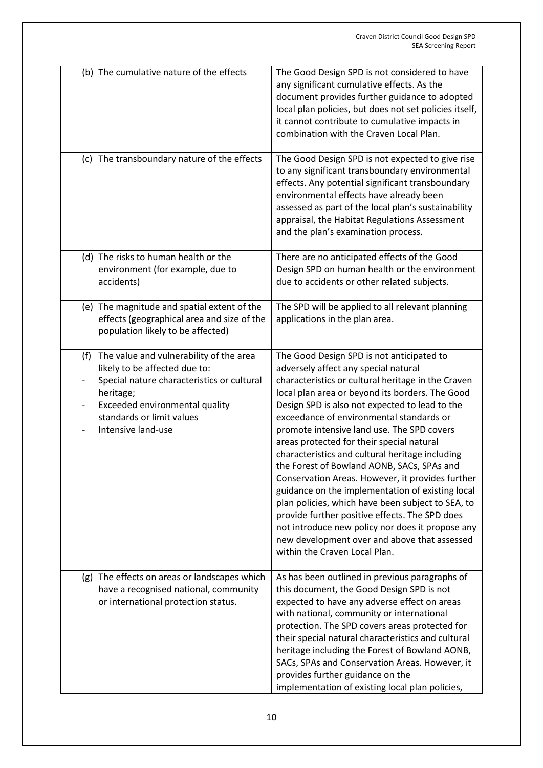|                                 | (b) The cumulative nature of the effects                                                                                                                                                                                 | The Good Design SPD is not considered to have<br>any significant cumulative effects. As the<br>document provides further guidance to adopted<br>local plan policies, but does not set policies itself,<br>it cannot contribute to cumulative impacts in<br>combination with the Craven Local Plan.                                                                                                                                                                                                                                                                                                                                                                                                                                                                                                                                       |
|---------------------------------|--------------------------------------------------------------------------------------------------------------------------------------------------------------------------------------------------------------------------|------------------------------------------------------------------------------------------------------------------------------------------------------------------------------------------------------------------------------------------------------------------------------------------------------------------------------------------------------------------------------------------------------------------------------------------------------------------------------------------------------------------------------------------------------------------------------------------------------------------------------------------------------------------------------------------------------------------------------------------------------------------------------------------------------------------------------------------|
|                                 | (c) The transboundary nature of the effects                                                                                                                                                                              | The Good Design SPD is not expected to give rise<br>to any significant transboundary environmental<br>effects. Any potential significant transboundary<br>environmental effects have already been<br>assessed as part of the local plan's sustainability<br>appraisal, the Habitat Regulations Assessment<br>and the plan's examination process.                                                                                                                                                                                                                                                                                                                                                                                                                                                                                         |
|                                 | (d) The risks to human health or the<br>environment (for example, due to<br>accidents)                                                                                                                                   | There are no anticipated effects of the Good<br>Design SPD on human health or the environment<br>due to accidents or other related subjects.                                                                                                                                                                                                                                                                                                                                                                                                                                                                                                                                                                                                                                                                                             |
|                                 | (e) The magnitude and spatial extent of the<br>effects (geographical area and size of the<br>population likely to be affected)                                                                                           | The SPD will be applied to all relevant planning<br>applications in the plan area.                                                                                                                                                                                                                                                                                                                                                                                                                                                                                                                                                                                                                                                                                                                                                       |
| (f)<br>$\overline{\phantom{0}}$ | The value and vulnerability of the area<br>likely to be affected due to:<br>Special nature characteristics or cultural<br>heritage;<br>Exceeded environmental quality<br>standards or limit values<br>Intensive land-use | The Good Design SPD is not anticipated to<br>adversely affect any special natural<br>characteristics or cultural heritage in the Craven<br>local plan area or beyond its borders. The Good<br>Design SPD is also not expected to lead to the<br>exceedance of environmental standards or<br>promote intensive land use. The SPD covers<br>areas protected for their special natural<br>characteristics and cultural heritage including<br>the Forest of Bowland AONB, SACs, SPAs and<br>Conservation Areas. However, it provides further<br>guidance on the implementation of existing local<br>plan policies, which have been subject to SEA, to<br>provide further positive effects. The SPD does<br>not introduce new policy nor does it propose any<br>new development over and above that assessed<br>within the Craven Local Plan. |
|                                 | (g) The effects on areas or landscapes which<br>have a recognised national, community<br>or international protection status.                                                                                             | As has been outlined in previous paragraphs of<br>this document, the Good Design SPD is not<br>expected to have any adverse effect on areas<br>with national, community or international<br>protection. The SPD covers areas protected for<br>their special natural characteristics and cultural<br>heritage including the Forest of Bowland AONB,<br>SACs, SPAs and Conservation Areas. However, it<br>provides further guidance on the<br>implementation of existing local plan policies,                                                                                                                                                                                                                                                                                                                                              |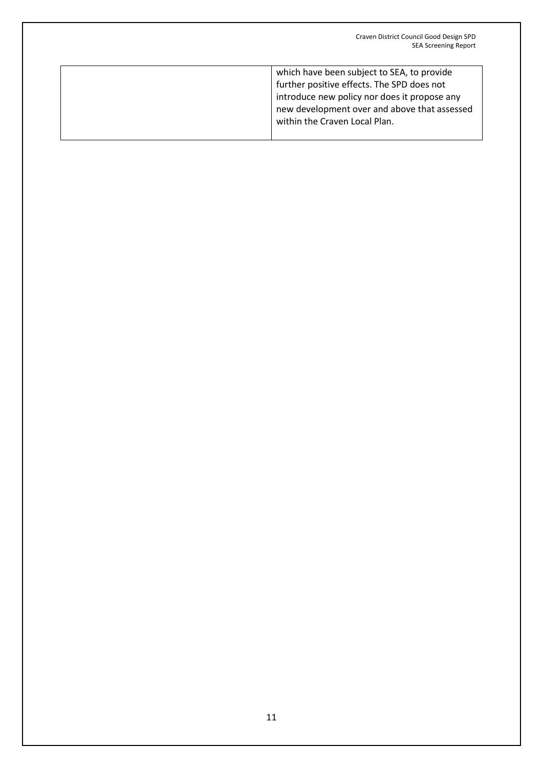| which have been subject to SEA, to provide   |
|----------------------------------------------|
| further positive effects. The SPD does not   |
| introduce new policy nor does it propose any |
| new development over and above that assessed |
| within the Craven Local Plan.                |
|                                              |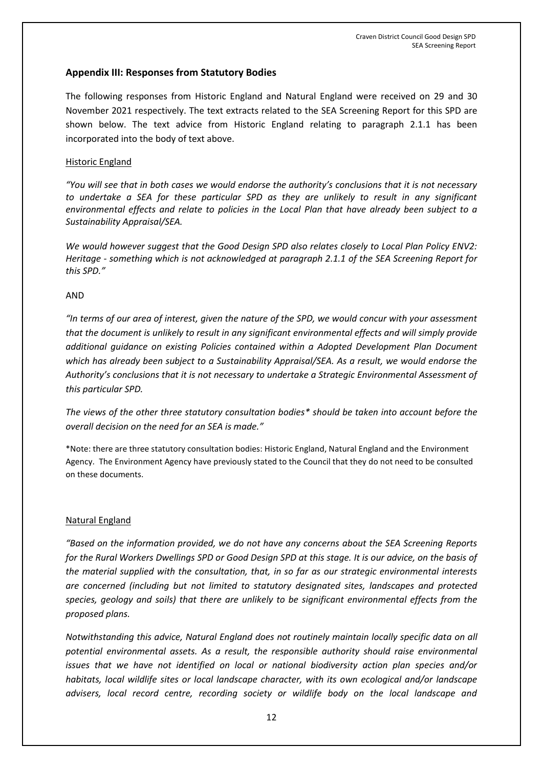### **Appendix III: Responses from Statutory Bodies**

The following responses from Historic England and Natural England were received on 29 and 30 November 2021 respectively. The text extracts related to the SEA Screening Report for this SPD are shown below. The text advice from Historic England relating to paragraph 2.1.1 has been incorporated into the body of text above.

#### Historic England

*"You will see that in both cases we would endorse the authority's conclusions that it is not necessary to undertake a SEA for these particular SPD as they are unlikely to result in any significant environmental effects and relate to policies in the Local Plan that have already been subject to a Sustainability Appraisal/SEA.* 

*We would however suggest that the Good Design SPD also relates closely to Local Plan Policy ENV2: Heritage - something which is not acknowledged at paragraph 2.1.1 of the SEA Screening Report for this SPD."*

#### AND

*"In terms of our area of interest, given the nature of the SPD, we would concur with your assessment that the document is unlikely to result in any significant environmental effects and will simply provide additional guidance on existing Policies contained within a Adopted Development Plan Document which has already been subject to a Sustainability Appraisal/SEA. As a result, we would endorse the Authority's conclusions that it is not necessary to undertake a Strategic Environmental Assessment of this particular SPD.* 

*The views of the other three statutory consultation bodies\* should be taken into account before the overall decision on the need for an SEA is made."*

\*Note: there are three statutory consultation bodies: Historic England, Natural England and the Environment Agency. The Environment Agency have previously stated to the Council that they do not need to be consulted on these documents.

#### Natural England

*"Based on the information provided, we do not have any concerns about the SEA Screening Reports for the Rural Workers Dwellings SPD or Good Design SPD at this stage. It is our advice, on the basis of the material supplied with the consultation, that, in so far as our strategic environmental interests are concerned (including but not limited to statutory designated sites, landscapes and protected species, geology and soils) that there are unlikely to be significant environmental effects from the proposed plans.* 

*Notwithstanding this advice, Natural England does not routinely maintain locally specific data on all potential environmental assets. As a result, the responsible authority should raise environmental issues that we have not identified on local or national biodiversity action plan species and/or habitats, local wildlife sites or local landscape character, with its own ecological and/or landscape advisers, local record centre, recording society or wildlife body on the local landscape and*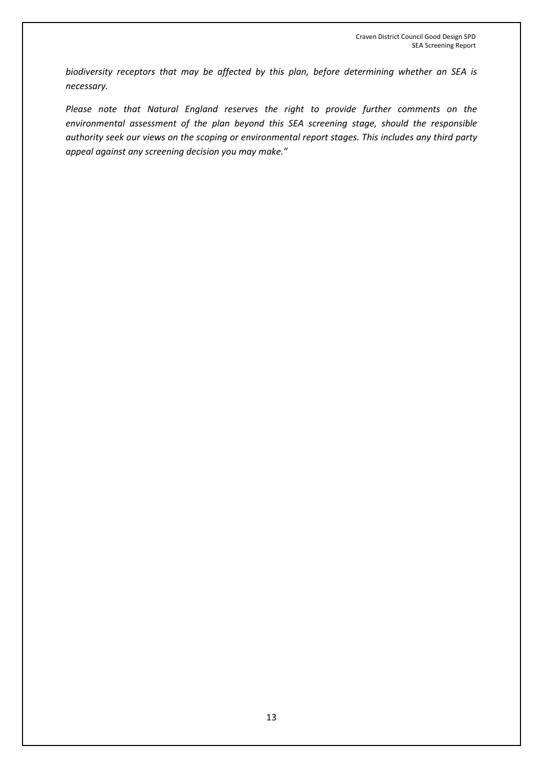*biodiversity receptors that may be affected by this plan, before determining whether an SEA is necessary.* 

*Please note that Natural England reserves the right to provide further comments on the environmental assessment of the plan beyond this SEA screening stage, should the responsible authority seek our views on the scoping or environmental report stages. This includes any third party appeal against any screening decision you may make."*